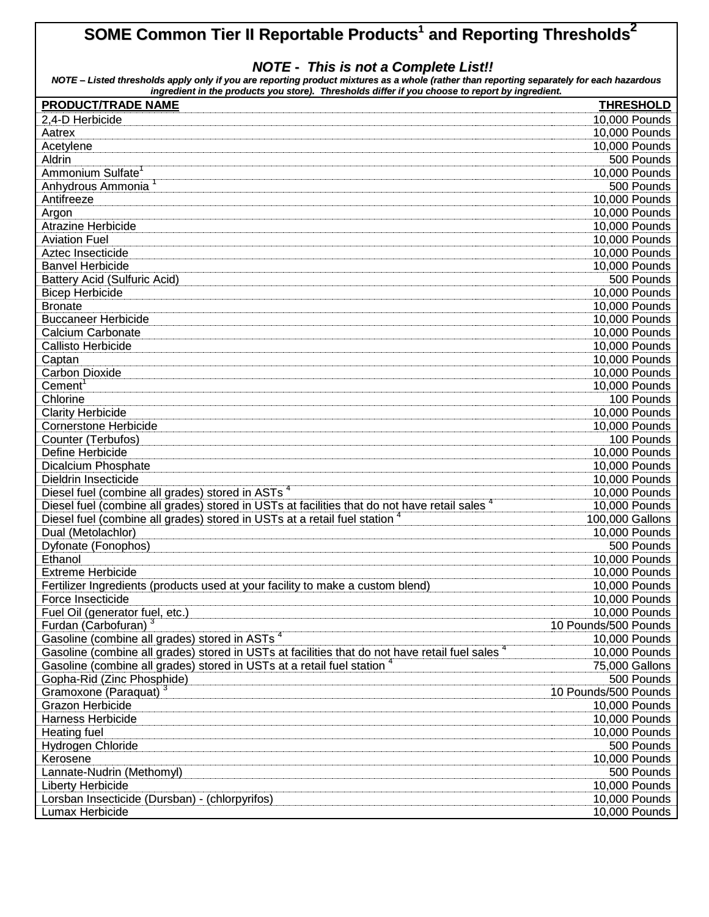## **SOME Common Tier II Reportable Products 1 and Reporting Thresholds 2**

## *NOTE - This is not a Complete List!!*

NOTE - Listed thresholds apply only if you are reporting product mixtures as a whole (rather than reporting separately for each hazardous *ingredient in the products you store). Thresholds differ if you choose to report by ingredient.*

| <b>PRODUCT/TRADE NAME</b>                                                                       | <b>THRESHOLD</b>     |
|-------------------------------------------------------------------------------------------------|----------------------|
| 2,4-D Herbicide                                                                                 | 10,000 Pounds        |
| Aatrex                                                                                          | 10,000 Pounds        |
| Acetylene                                                                                       | 10,000 Pounds        |
| Aldrin                                                                                          | 500 Pounds           |
| Ammonium Sulfate <sup>1</sup>                                                                   | 10,000 Pounds        |
| Anhydrous Ammonia                                                                               | 500 Pounds           |
| Antifreeze                                                                                      | 10,000 Pounds        |
| Argon                                                                                           | 10,000 Pounds        |
| <b>Atrazine Herbicide</b>                                                                       | 10,000 Pounds        |
| <b>Aviation Fuel</b>                                                                            | 10,000 Pounds        |
| Aztec Insecticide                                                                               | 10,000 Pounds        |
| <b>Banvel Herbicide</b>                                                                         | 10,000 Pounds        |
| <b>Battery Acid (Sulfuric Acid)</b>                                                             | 500 Pounds           |
| <b>Bicep Herbicide</b>                                                                          | 10,000 Pounds        |
| <b>Bronate</b>                                                                                  | 10,000 Pounds        |
| <b>Buccaneer Herbicide</b>                                                                      | 10,000 Pounds        |
| <b>Calcium Carbonate</b>                                                                        | 10,000 Pounds        |
| <b>Callisto Herbicide</b>                                                                       | 10,000 Pounds        |
| Captan                                                                                          | 10,000 Pounds        |
| <b>Carbon Dioxide</b>                                                                           | 10,000 Pounds        |
| Cement <sup>1</sup>                                                                             | 10,000 Pounds        |
| Chlorine                                                                                        | 100 Pounds           |
| <b>Clarity Herbicide</b>                                                                        | 10,000 Pounds        |
| <b>Cornerstone Herbicide</b>                                                                    | 10,000 Pounds        |
| Counter (Terbufos)                                                                              | 100 Pounds           |
| Define Herbicide                                                                                | 10,000 Pounds        |
| <b>Dicalcium Phosphate</b>                                                                      | 10,000 Pounds        |
| <b>Dieldrin Insecticide</b>                                                                     | 10,000 Pounds        |
| Diesel fuel (combine all grades) stored in ASTs <sup>4</sup>                                    | 10,000 Pounds        |
| Diesel fuel (combine all grades) stored in USTs at facilities that do not have retail sales     | 10,000 Pounds        |
| Diesel fuel (combine all grades) stored in USTs at a retail fuel station <sup>4</sup>           | 100,000 Gallons      |
| Dual (Metolachlor)                                                                              | 10,000 Pounds        |
| Dyfonate (Fonophos)                                                                             | 500 Pounds           |
| Ethanol                                                                                         | 10,000 Pounds        |
| <b>Extreme Herbicide</b>                                                                        | 10,000 Pounds        |
| Fertilizer Ingredients (products used at your facility to make a custom blend)                  | 10,000 Pounds        |
| Force Insecticide                                                                               | 10,000 Pounds        |
| Fuel Oil (generator fuel, etc.)                                                                 | 10,000 Pounds        |
| Furdan (Carbofuran) <sup>3</sup>                                                                | 10 Pounds/500 Pounds |
| Gasoline (combine all grades) stored in ASTs <sup>4</sup>                                       | 10,000 Pounds        |
| Gasoline (combine all grades) stored in USTs at facilities that do not have retail fuel sales 4 | 10,000 Pounds        |
| Gasoline (combine all grades) stored in USTs at a retail fuel station 4                         | 75,000 Gallons       |
| Gopha-Rid (Zinc Phosphide)                                                                      | 500 Pounds           |
| Gramoxone (Paraquat) <sup>3</sup>                                                               | 10 Pounds/500 Pounds |
| <b>Grazon Herbicide</b>                                                                         | 10,000 Pounds        |
| <b>Harness Herbicide</b>                                                                        | 10,000 Pounds        |
| <b>Heating fuel</b>                                                                             | 10,000 Pounds        |
| Hydrogen Chloride                                                                               | 500 Pounds           |
| Kerosene                                                                                        | 10,000 Pounds        |
| Lannate-Nudrin (Methomyl)                                                                       | 500 Pounds           |
| <b>Liberty Herbicide</b>                                                                        | 10,000 Pounds        |
| Lorsban Insecticide (Dursban) - (chlorpyrifos)                                                  | 10,000 Pounds        |
| Lumax Herbicide                                                                                 | 10,000 Pounds        |